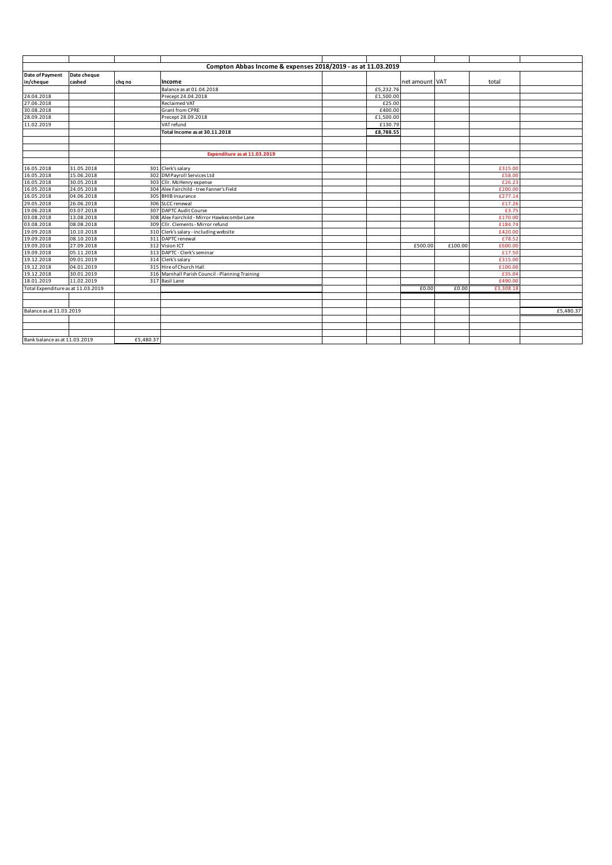|                                    |             |           | Compton Abbas Income & expenses 2018/2019 - as at 11.03.2019 |           |                |         |           |           |
|------------------------------------|-------------|-----------|--------------------------------------------------------------|-----------|----------------|---------|-----------|-----------|
| Date of Payment                    | Date cheque |           |                                                              |           |                |         |           |           |
| in/cheque                          | cashed      | chq no    | Income                                                       |           | net amount VAT |         | total     |           |
|                                    |             |           | Balance as at 01.04.2018                                     | £5,232.76 |                |         |           |           |
| 24.04.2018                         |             |           | Precept 24.04.2018                                           | £1,500.00 |                |         |           |           |
| 27.06.2018                         |             |           | <b>Reclaimed VAT</b>                                         | £25.00    |                |         |           |           |
| 30.08.2018                         |             |           | Grant from CPRE                                              | £400.00   |                |         |           |           |
| 28.09.2018                         |             |           | Precept 28.09.2018                                           | £1,500.00 |                |         |           |           |
| 11.02.2019                         |             |           | VAT refund                                                   | £130.79   |                |         |           |           |
|                                    |             |           | Total Income as at 30.11.2018                                | £8,788.55 |                |         |           |           |
|                                    |             |           |                                                              |           |                |         |           |           |
|                                    |             |           |                                                              |           |                |         |           |           |
|                                    |             |           | Expenditure as at 11.03.2019                                 |           |                |         |           |           |
|                                    |             |           |                                                              |           |                |         |           |           |
| 16.05.2018                         | 31.05.2018  |           | 301 Clerk's salary                                           |           |                |         | £315.00   |           |
| 16.05.2018                         | 15.06.2018  |           | 302 DM Payroll Services Ltd                                  |           |                |         | £58.00    |           |
| 16.05.2018                         | 30.05.2018  |           | 303 Cllr. McHenry expense                                    |           |                |         | £26.23    |           |
| 16.05.2018                         | 24.05.2018  |           | 304 Alex Fairchild - tree Fanner's Field                     |           |                |         | £200.00   |           |
| 16.05.2018                         | 04.06.2018  |           | 305 BHIB Insurance                                           |           |                |         | £277.14   |           |
| 29.05.2018                         | 26.06.2018  |           | 306 SLCC renewal                                             |           |                |         | £17.26    |           |
| 19.06.2018                         | 03.07.2018  |           | 307 DAPTC Audit Course                                       |           |                |         | £3.75     |           |
| 03.08.2018                         | 13.08.2018  |           | 308 Alex Fairchild - Mirror Hawkecombe Lane                  |           |                |         | £170.00   |           |
| 03.08.2018                         | 08.08.2018  |           | 309 Cllr. Clements - Mirror refund                           |           |                |         | £184.74   |           |
| 19.09.2018                         | 10.10.2018  |           | 310 Clerk's salary - including website                       |           |                |         | £420.00   |           |
| 19.09.2018                         | 08.10.2018  |           | 311 DAPTC renewal                                            |           |                |         | £78.52    |           |
| 19.09.2018                         | 27.09.2018  |           | 312 Vision ICT                                               |           | £500.00        | £100.00 | £600.00   |           |
| 19.09.2018                         | 05.11.2018  |           | 313 DAPTC - Clerk's seminar                                  |           |                |         | £17.50    |           |
| 19.12.2018                         | 09.01.2019  |           | 314 Clerk's salary                                           |           |                |         | £315.00   |           |
| 19.12.2018                         | 04.01.2019  |           | 315 Hire of Church Hall                                      |           |                |         | £100.00   |           |
| 19.12.2018                         | 30.01.2019  |           | 316 Marnhall Parish Council - Planning Training              |           |                |         | £35.04    |           |
| 18.01.2019                         | 11.02.2019  |           | 317 Basil Lane                                               |           |                |         | £490.00   |           |
| Total Expenditure as at 11.03.2019 |             |           |                                                              |           | £0.00          | £0.00   | £3,308.18 |           |
|                                    |             |           |                                                              |           |                |         |           |           |
|                                    |             |           |                                                              |           |                |         |           |           |
| Balance as at 11.03.2019           |             |           |                                                              |           |                |         |           | £5,480.37 |
|                                    |             |           |                                                              |           |                |         |           |           |
|                                    |             |           |                                                              |           |                |         |           |           |
|                                    |             |           |                                                              |           |                |         |           |           |
| Bank balance as at 11.03.2019      |             | £5,480.37 |                                                              |           |                |         |           |           |